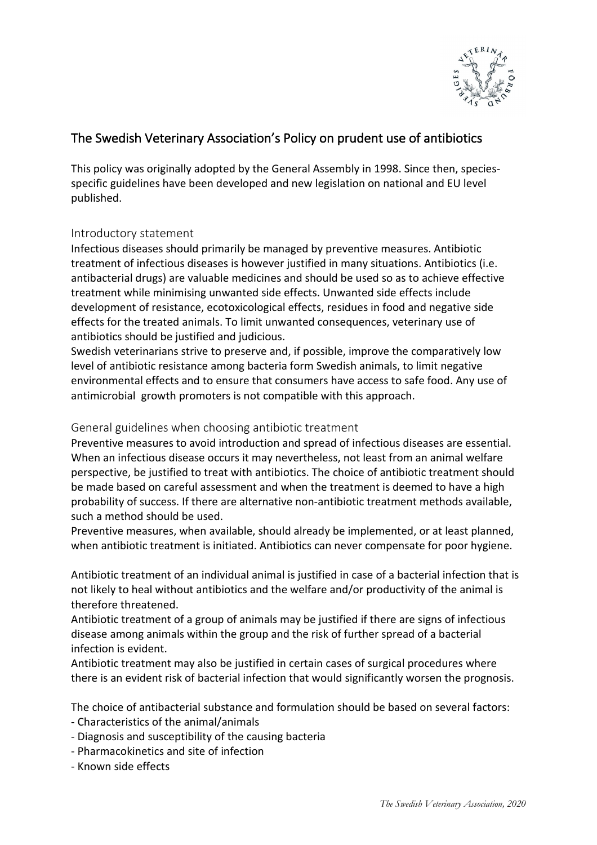

# The Swedish Veterinary Association's Policy on prudent use of antibiotics

This policy was originally adopted by the General Assembly in 1998. Since then, speciesspecific guidelines have been developed and new legislation on national and EU level published.

## Introductory statement

Infectious diseases should primarily be managed by preventive measures. Antibiotic treatment of infectious diseases is however justified in many situations. Antibiotics (i.e. antibacterial drugs) are valuable medicines and should be used so as to achieve effective treatment while minimising unwanted side effects. Unwanted side effects include development of resistance, ecotoxicological effects, residues in food and negative side effects for the treated animals. To limit unwanted consequences, veterinary use of antibiotics should be justified and judicious.

Swedish veterinarians strive to preserve and, if possible, improve the comparatively low level of antibiotic resistance among bacteria form Swedish animals, to limit negative environmental effects and to ensure that consumers have access to safe food. Any use of antimicrobial growth promoters is not compatible with this approach.

General guidelines when choosing antibiotic treatment

Preventive measures to avoid introduction and spread of infectious diseases are essential. When an infectious disease occurs it may nevertheless, not least from an animal welfare perspective, be justified to treat with antibiotics. The choice of antibiotic treatment should be made based on careful assessment and when the treatment is deemed to have a high probability of success. If there are alternative non-antibiotic treatment methods available, such a method should be used.

Preventive measures, when available, should already be implemented, or at least planned, when antibiotic treatment is initiated. Antibiotics can never compensate for poor hygiene.

Antibiotic treatment of an individual animal is justified in case of a bacterial infection that is not likely to heal without antibiotics and the welfare and/or productivity of the animal is therefore threatened.

Antibiotic treatment of a group of animals may be justified if there are signs of infectious disease among animals within the group and the risk of further spread of a bacterial infection is evident.

Antibiotic treatment may also be justified in certain cases of surgical procedures where there is an evident risk of bacterial infection that would significantly worsen the prognosis.

The choice of antibacterial substance and formulation should be based on several factors:

- Characteristics of the animal/animals
- Diagnosis and susceptibility of the causing bacteria
- Pharmacokinetics and site of infection
- Known side effects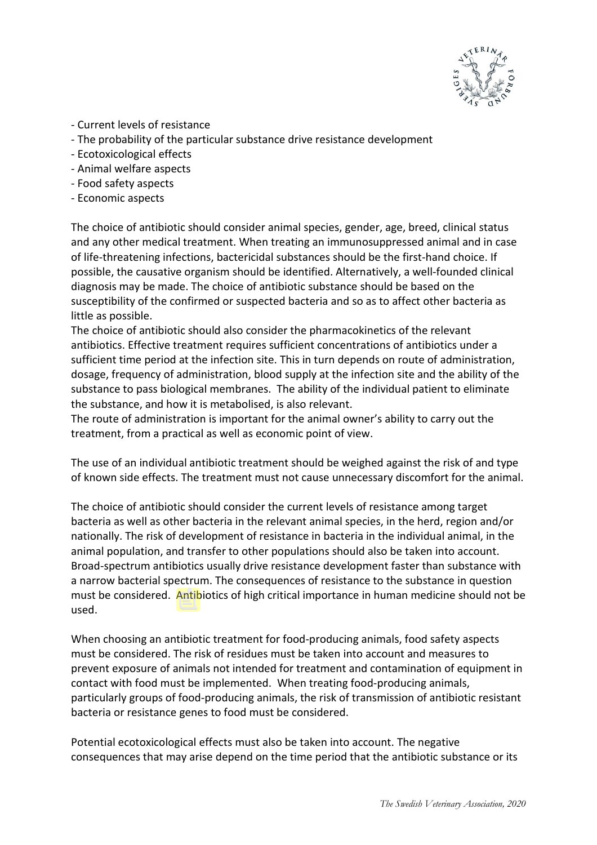

- Current levels of resistance
- The probability of the particular substance drive resistance development
- Ecotoxicological effects
- Animal welfare aspects
- Food safety aspects
- Economic aspects

The choice of antibiotic should consider animal species, gender, age, breed, clinical status and any other medical treatment. When treating an immunosuppressed animal and in case of life-threatening infections, bactericidal substances should be the first-hand choice. If possible, the causative organism should be identified. Alternatively, a well-founded clinical diagnosis may be made. The choice of antibiotic substance should be based on the susceptibility of the confirmed or suspected bacteria and so as to affect other bacteria as little as possible.

The choice of antibiotic should also consider the pharmacokinetics of the relevant antibiotics. Effective treatment requires sufficient concentrations of antibiotics under a sufficient time period at the infection site. This in turn depends on route of administration, dosage, frequency of administration, blood supply at the infection site and the ability of the substance to pass biological membranes. The ability of the individual patient to eliminate the substance, and how it is metabolised, is also relevant.

The route of administration is important for the animal owner's ability to carry out the treatment, from a practical as well as economic point of view.

The use of an individual antibiotic treatment should be weighed against the risk of and type of known side effects. The treatment must not cause unnecessary discomfort for the animal.

The choice of antibiotic should consider the current levels of resistance among target bacteria as well as other bacteria in the relevant animal species, in the herd, region and/or nationally. The risk of development of resistance in bacteria in the individual animal, in the animal population, and transfer to other populations should also be taken into account. Broad-spectrum antibiotics usually drive resistance development faster than substance with a narrow bacterial spectrum. The consequences of resistance to the substance in question must be considered. Antibiotics of high critical importance in human medicine should not be used.

When choosing an antibiotic treatment for food-producing animals, food safety aspects must be considered. The risk of residues must be taken into account and measures to prevent exposure of animals not intended for treatment and contamination of equipment in contact with food must be implemented. When treating food-producing animals, particularly groups of food-producing animals, the risk of transmission of antibiotic resistant bacteria or resistance genes to food must be considered.

Potential ecotoxicological effects must also be taken into account. The negative consequences that may arise depend on the time period that the antibiotic substance or its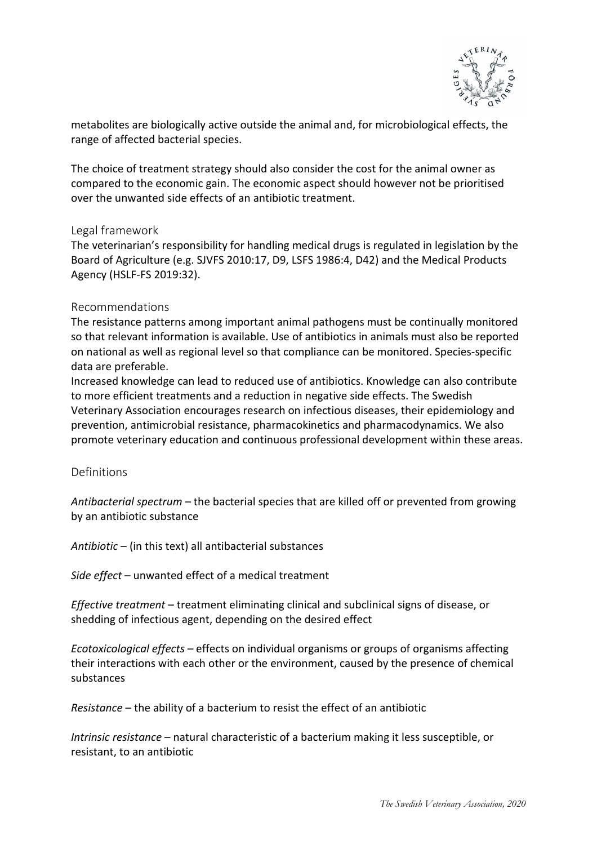

metabolites are biologically active outside the animal and, for microbiological effects, the range of affected bacterial species.

The choice of treatment strategy should also consider the cost for the animal owner as compared to the economic gain. The economic aspect should however not be prioritised over the unwanted side effects of an antibiotic treatment.

#### Legal framework

The veterinarian's responsibility for handling medical drugs is regulated in legislation by the Board of Agriculture (e.g. SJVFS 2010:17, D9, LSFS 1986:4, D42) and the Medical Products Agency (HSLF-FS 2019:32).

#### Recommendations

The resistance patterns among important animal pathogens must be continually monitored so that relevant information is available. Use of antibiotics in animals must also be reported on national as well as regional level so that compliance can be monitored. Species-specific data are preferable.

Increased knowledge can lead to reduced use of antibiotics. Knowledge can also contribute to more efficient treatments and a reduction in negative side effects. The Swedish Veterinary Association encourages research on infectious diseases, their epidemiology and prevention, antimicrobial resistance, pharmacokinetics and pharmacodynamics. We also promote veterinary education and continuous professional development within these areas.

### Definitions

*Antibacterial spectrum* – the bacterial species that are killed off or prevented from growing by an antibiotic substance

*Antibiotic* – (in this text) all antibacterial substances

*Side effect* – unwanted effect of a medical treatment

*Effective treatment* – treatment eliminating clinical and subclinical signs of disease, or shedding of infectious agent, depending on the desired effect

*Ecotoxicological effects* – effects on individual organisms or groups of organisms affecting their interactions with each other or the environment, caused by the presence of chemical substances

*Resistance* – the ability of a bacterium to resist the effect of an antibiotic

*Intrinsic resistance* – natural characteristic of a bacterium making it less susceptible, or resistant, to an antibiotic